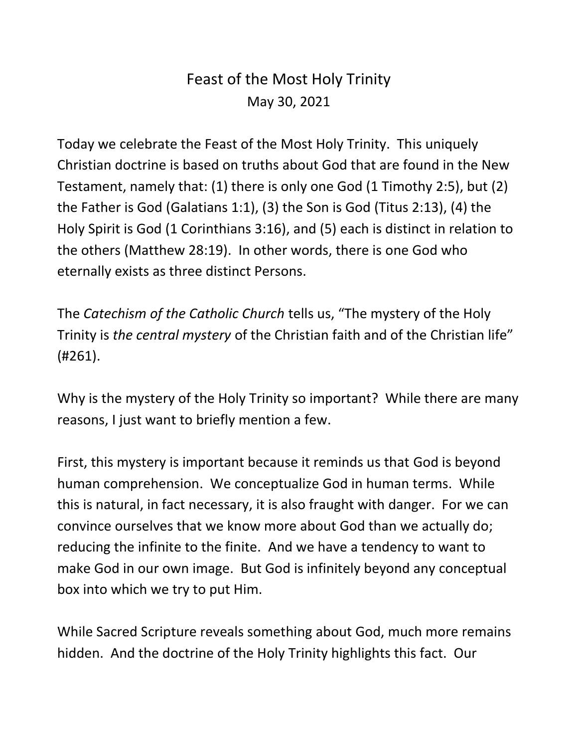## Feast of the Most Holy Trinity May 30, 2021

Today we celebrate the Feast of the Most Holy Trinity. This uniquely Christian doctrine is based on truths about God that are found in the New Testament, namely that: (1) there is only one God (1 Timothy 2:5), but (2) the Father is God (Galatians 1:1), (3) the Son is God (Titus 2:13), (4) the Holy Spirit is God (1 Corinthians 3:16), and (5) each is distinct in relation to the others (Matthew 28:19). In other words, there is one God who eternally exists as three distinct Persons.

The *Catechism of the Catholic Church* tells us, "The mystery of the Holy Trinity is *the central mystery* of the Christian faith and of the Christian life" (#261).

Why is the mystery of the Holy Trinity so important? While there are many reasons, I just want to briefly mention a few.

First, this mystery is important because it reminds us that God is beyond human comprehension. We conceptualize God in human terms. While this is natural, in fact necessary, it is also fraught with danger. For we can convince ourselves that we know more about God than we actually do; reducing the infinite to the finite. And we have a tendency to want to make God in our own image. But God is infinitely beyond any conceptual box into which we try to put Him.

While Sacred Scripture reveals something about God, much more remains hidden. And the doctrine of the Holy Trinity highlights this fact. Our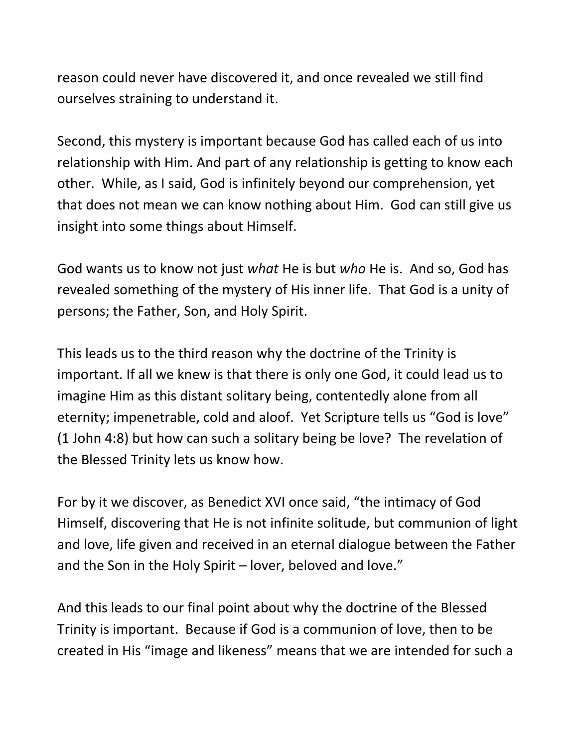reason could never have discovered it, and once revealed we still find ourselves straining to understand it.

Second, this mystery is important because God has called each of us into relationship with Him. And part of any relationship is getting to know each other. While, as I said, God is infinitely beyond our comprehension, yet that does not mean we can know nothing about Him. God can still give us insight into some things about Himself.

God wants us to know not just *what* He is but *who* He is. And so, God has revealed something of the mystery of His inner life. That God is a unity of persons; the Father, Son, and Holy Spirit.

This leads us to the third reason why the doctrine of the Trinity is important. If all we knew is that there is only one God, it could lead us to imagine Him as this distant solitary being, contentedly alone from all eternity; impenetrable, cold and aloof. Yet Scripture tells us "God is love" (1 John 4:8) but how can such a solitary being be love? The revelation of the Blessed Trinity lets us know how.

For by it we discover, as Benedict XVI once said, "the intimacy of God Himself, discovering that He is not infinite solitude, but communion of light and love, life given and received in an eternal dialogue between the Father and the Son in the Holy Spirit – lover, beloved and love."

And this leads to our final point about why the doctrine of the Blessed Trinity is important. Because if God is a communion of love, then to be created in His "image and likeness" means that we are intended for such a